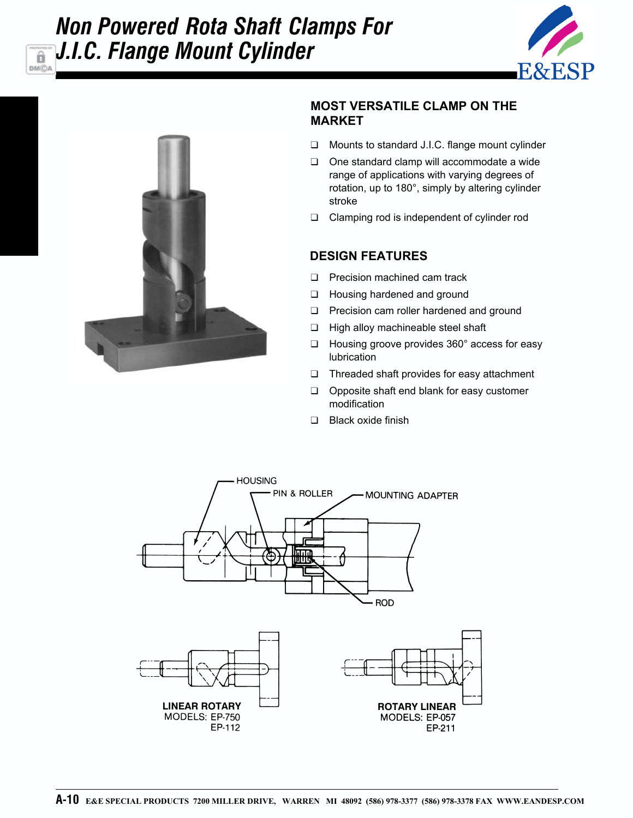## *Non Powered Rota Shaft Clamps For J.I.C. Flange Mount Cylinder***DMCA**





â

## **MOST VERSATILE CLAMP ON THE MARKET**

- ❑ Mounts to standard J.I.C. flange mount cylinder
- ❑ One standard clamp will accommodate a wide range of applications with varying degrees of rotation, up to 180°, simply by altering cylinder stroke
- ❑ Clamping rod is independent of cylinder rod

## **DESIGN FEATURES**

- ❑ Precision machined cam track
- ❑ Housing hardened and ground
- ❑ Precision cam roller hardened and ground
- ❑ High alloy machineable steel shaft
- ❑ Housing groove provides 360° access for easy lubrication
- ❑ Threaded shaft provides for easy attachment
- ❑ Opposite shaft end blank for easy customer modification
- ❑ Black oxide finish